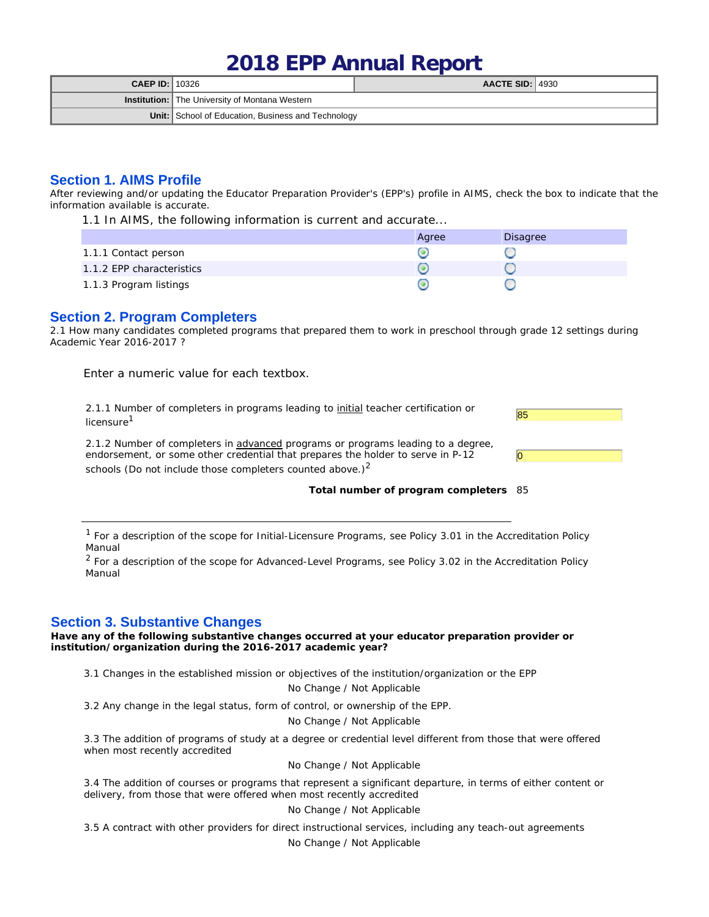# **2018 EPP Annual Report**

| <b>CAEP ID:</b> $10326$ |                                                       | $AACTE$ SID: $ 4930 $ |  |
|-------------------------|-------------------------------------------------------|-----------------------|--|
|                         | <b>Institution:</b> The University of Montana Western |                       |  |
|                         | Unit: School of Education, Business and Technology    |                       |  |

#### **Section 1. AIMS Profile**

After reviewing and/or updating the Educator Preparation Provider's (EPP's) profile in AIMS, check the box to indicate that the information available is accurate.

1.1 In AIMS, the following information is current and accurate...

|                           | Agree | Disagree |
|---------------------------|-------|----------|
| 1.1.1 Contact person      |       |          |
| 1.1.2 EPP characteristics |       |          |
| 1.1.3 Program listings    |       |          |

## **Section 2. Program Completers**

2.1 How many candidates completed programs that prepared them to work in preschool through grade 12 settings during Academic Year 2016-2017 ?

Enter a numeric value for each textbox.

2.1.1 Number of completers in programs leading to <u>initial</u> teacher certification or  $\overline{\textbf{85}}$ <br>licensure<sup>1</sup>

2.1.2 Number of completers in advanced programs or programs leading to a degree, endorsement, or some other credential that prepares the holder to serve in P-12 schools (Do not include those completers counted above.) $<sup>2</sup>$ </sup>



**Total number of program completers** 85

 $1$  For a description of the scope for Initial-Licensure Programs, see Policy 3.01 in the Accreditation Policy Manual

<sup>2</sup> For a description of the scope for Advanced-Level Programs, see Policy 3.02 in the Accreditation Policy Manual

## **Section 3. Substantive Changes**

**Have any of the following substantive changes occurred at your educator preparation provider or institution/organization during the 2016-2017 academic year?**

3.1 Changes in the established mission or objectives of the institution/organization or the EPP

No Change / Not Applicable

3.2 Any change in the legal status, form of control, or ownership of the EPP.

No Change / Not Applicable

3.3 The addition of programs of study at a degree or credential level different from those that were offered when most recently accredited

No Change / Not Applicable

3.4 The addition of courses or programs that represent a significant departure, in terms of either content or delivery, from those that were offered when most recently accredited

#### No Change / Not Applicable

3.5 A contract with other providers for direct instructional services, including any teach-out agreements No Change / Not Applicable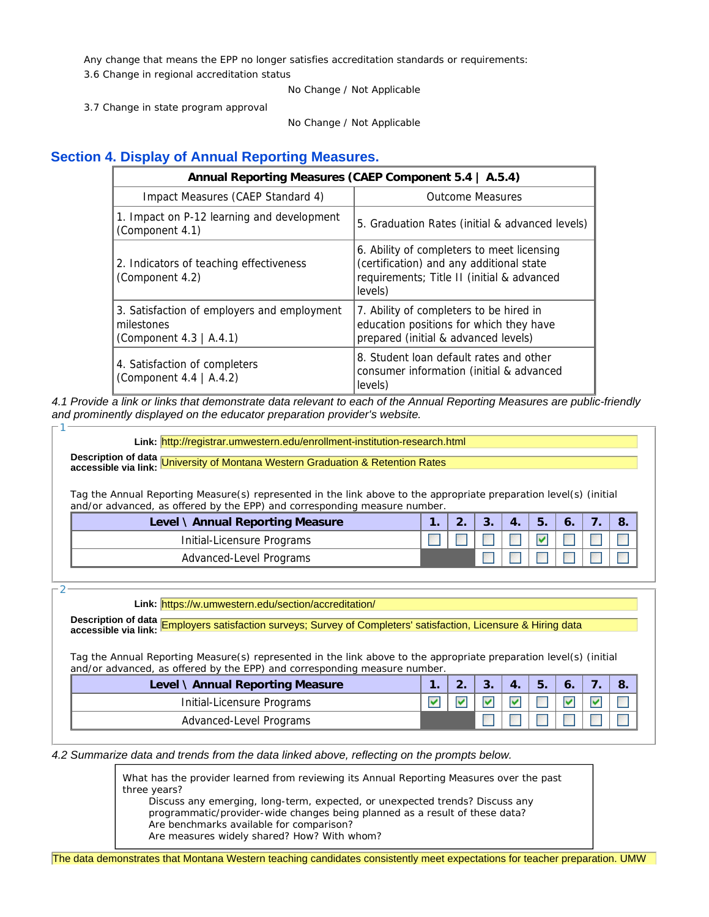Any change that means the EPP no longer satisfies accreditation standards or requirements: 3.6 Change in regional accreditation status

No Change / Not Applicable

3.7 Change in state program approval

No Change / Not Applicable

## **Section 4. Display of Annual Reporting Measures.**

|                                                                                      | Annual Reporting Measures (CAEP Component 5.4   A.5.4)                                                                                          |  |  |  |  |
|--------------------------------------------------------------------------------------|-------------------------------------------------------------------------------------------------------------------------------------------------|--|--|--|--|
| Impact Measures (CAEP Standard 4)                                                    | <b>Outcome Measures</b>                                                                                                                         |  |  |  |  |
| 1. Impact on P-12 learning and development<br>(Component 4.1)                        | 5. Graduation Rates (initial & advanced levels)                                                                                                 |  |  |  |  |
| 2. Indicators of teaching effectiveness<br>(Component 4.2)                           | 6. Ability of completers to meet licensing<br>(certification) and any additional state<br>requirements; Title II (initial & advanced<br>levels) |  |  |  |  |
| 3. Satisfaction of employers and employment<br>milestones<br>(Component 4.3   A.4.1) | 7. Ability of completers to be hired in<br>education positions for which they have<br>prepared (initial & advanced levels)                      |  |  |  |  |
| 4. Satisfaction of completers<br>(Component 4.4   A.4.2)                             | 8. Student loan default rates and other<br>consumer information (initial & advanced<br>levels)                                                  |  |  |  |  |

*4.1 Provide a link or links that demonstrate data relevant to each of the Annual Reporting Measures are public-friendly and prominently displayed on the educator preparation provider's website.*

**Link:** http://registrar.umwestern.edu/enrollment-institution-research.html

**Description of data accessible via link:** University of Montana Western Graduation & Retention Rates

Tag the Annual Reporting Measure(s) represented in the link above to the appropriate preparation level(s) (initial and/or advanced, as offered by the EPP) and corresponding measure number.

| Level \ Annual Reporting Measure | <u>_</u> | J. | J. |  | ്റ്. |
|----------------------------------|----------|----|----|--|------|
| Initial-Licensure Programs       |          |    |    |  |      |
| Advanced-Level Programs          |          |    |    |  |      |

2

1

**Link:** https://w.umwestern.edu/section/accreditation/

**Description of data accessible via link:** Employers satisfaction surveys; Survey of Completers' satisfaction, Licensure & Hiring data

Tag the Annual Reporting Measure(s) represented in the link above to the appropriate preparation level(s) (initial and/or advanced, as offered by the EPP) and corresponding measure number.

| Level \ Annual Reporting Measure |  | J. | ◡. |  |  |
|----------------------------------|--|----|----|--|--|
| Initial-Licensure Programs       |  |    |    |  |  |
| Advanced-Level Programs          |  |    |    |  |  |

#### *4.2 Summarize data and trends from the data linked above, reflecting on the prompts below.*

*What has the provider learned from reviewing its Annual Reporting Measures over the past three years?* 

*Discuss any emerging, long-term, expected, or unexpected trends? Discuss any programmatic/provider-wide changes being planned as a result of these data? Are benchmarks available for comparison?*

*Are measures widely shared? How? With whom?*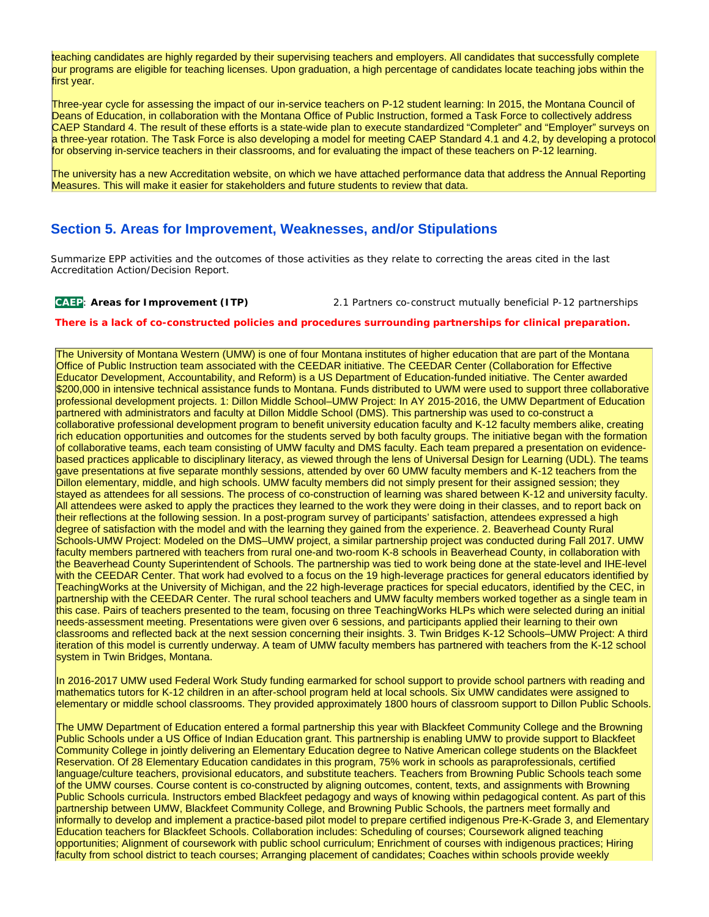teaching candidates are highly regarded by their supervising teachers and employers. All candidates that successfully complete our programs are eligible for teaching licenses. Upon graduation, a high percentage of candidates locate teaching jobs within the first year.

Three-year cycle for assessing the impact of our in-service teachers on P-12 student learning: In 2015, the Montana Council of Deans of Education, in collaboration with the Montana Office of Public Instruction, formed a Task Force to collectively address CAEP Standard 4. The result of these efforts is a state-wide plan to execute standardized "Completer" and "Employer" surveys on a three-year rotation. The Task Force is also developing a model for meeting CAEP Standard 4.1 and 4.2, by developing a protocol for observing in-service teachers in their classrooms, and for evaluating the impact of these teachers on P-12 learning.

The university has a new Accreditation website, on which we have attached performance data that address the Annual Reporting Measures. This will make it easier for stakeholders and future students to review that data.

## **Section 5. Areas for Improvement, Weaknesses, and/or Stipulations**

Summarize EPP activities and the outcomes of those activities as they relate to correcting the areas cited in the last Accreditation Action/Decision Report.

**CAEP**: **Areas for Improvement (ITP)** 2.1 Partners co-construct mutually beneficial P-12 partnerships

#### **There is a lack of co-constructed policies and procedures surrounding partnerships for clinical preparation.**

The University of Montana Western (UMW) is one of four Montana institutes of higher education that are part of the Montana Office of Public Instruction team associated with the CEEDAR initiative. The CEEDAR Center (Collaboration for Effective Educator Development, Accountability, and Reform) is a US Department of Education-funded initiative. The Center awarded \$200,000 in intensive technical assistance funds to Montana. Funds distributed to UWM were used to support three collaborative professional development projects. 1: Dillon Middle School–UMW Project: In AY 2015-2016, the UMW Department of Education partnered with administrators and faculty at Dillon Middle School (DMS). This partnership was used to co-construct a collaborative professional development program to benefit university education faculty and K-12 faculty members alike, creating rich education opportunities and outcomes for the students served by both faculty groups. The initiative began with the formation of collaborative teams, each team consisting of UMW faculty and DMS faculty. Each team prepared a presentation on evidencebased practices applicable to disciplinary literacy, as viewed through the lens of Universal Design for Learning (UDL). The teams gave presentations at five separate monthly sessions, attended by over 60 UMW faculty members and K-12 teachers from the Dillon elementary, middle, and high schools. UMW faculty members did not simply present for their assigned session; they stayed as attendees for all sessions. The process of co-construction of learning was shared between K-12 and university faculty. All attendees were asked to apply the practices they learned to the work they were doing in their classes, and to report back on their reflections at the following session. In a post-program survey of participants' satisfaction, attendees expressed a high degree of satisfaction with the model and with the learning they gained from the experience. 2. Beaverhead County Rural Schools-UMW Project: Modeled on the DMS–UMW project, a similar partnership project was conducted during Fall 2017. UMW faculty members partnered with teachers from rural one-and two-room K-8 schools in Beaverhead County, in collaboration with the Beaverhead County Superintendent of Schools. The partnership was tied to work being done at the state-level and IHE-level with the CEEDAR Center. That work had evolved to a focus on the 19 high-leverage practices for general educators identified by TeachingWorks at the University of Michigan, and the 22 high-leverage practices for special educators, identified by the CEC, in partnership with the CEEDAR Center. The rural school teachers and UMW faculty members worked together as a single team in this case. Pairs of teachers presented to the team, focusing on three TeachingWorks HLPs which were selected during an initial needs-assessment meeting. Presentations were given over 6 sessions, and participants applied their learning to their own classrooms and reflected back at the next session concerning their insights. 3. Twin Bridges K-12 Schools–UMW Project: A third iteration of this model is currently underway. A team of UMW faculty members has partnered with teachers from the K-12 school system in Twin Bridges, Montana.

In 2016-2017 UMW used Federal Work Study funding earmarked for school support to provide school partners with reading and mathematics tutors for K-12 children in an after-school program held at local schools. Six UMW candidates were assigned to elementary or middle school classrooms. They provided approximately 1800 hours of classroom support to Dillon Public Schools.

The UMW Department of Education entered a formal partnership this year with Blackfeet Community College and the Browning Public Schools under a US Office of Indian Education grant. This partnership is enabling UMW to provide support to Blackfeet Community College in jointly delivering an Elementary Education degree to Native American college students on the Blackfeet Reservation. Of 28 Elementary Education candidates in this program, 75% work in schools as paraprofessionals, certified language/culture teachers, provisional educators, and substitute teachers. Teachers from Browning Public Schools teach some of the UMW courses. Course content is co-constructed by aligning outcomes, content, texts, and assignments with Browning Public Schools curricula. Instructors embed Blackfeet pedagogy and ways of knowing within pedagogical content. As part of this partnership between UMW, Blackfeet Community College, and Browning Public Schools, the partners meet formally and informally to develop and implement a practice-based pilot model to prepare certified indigenous Pre-K-Grade 3, and Elementary Education teachers for Blackfeet Schools. Collaboration includes: Scheduling of courses; Coursework aligned teaching opportunities; Alignment of coursework with public school curriculum; Enrichment of courses with indigenous practices; Hiring faculty from school district to teach courses; Arranging placement of candidates; Coaches within schools provide weekly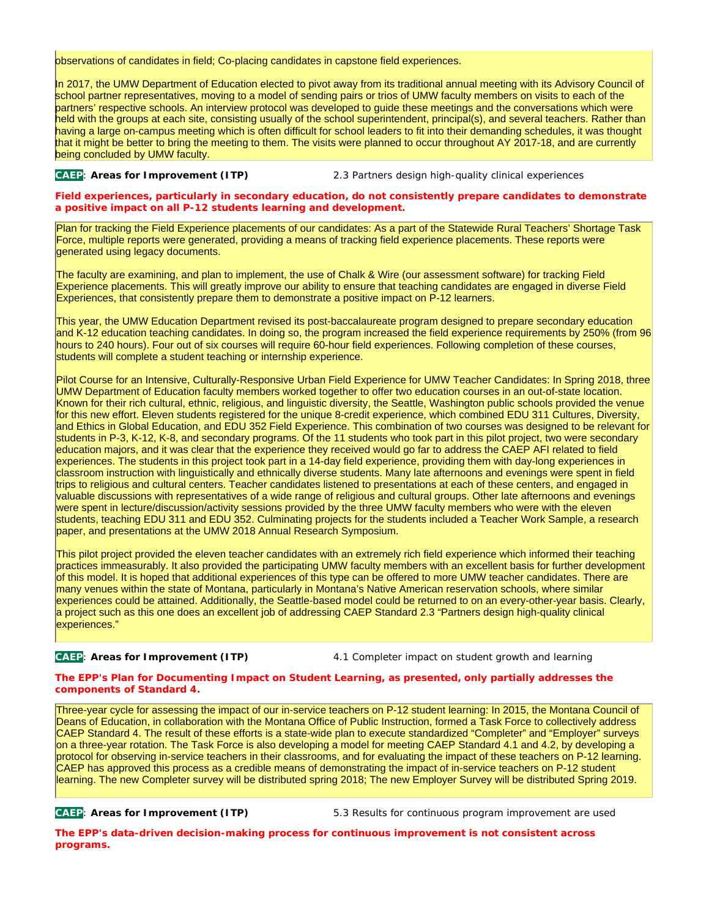observations of candidates in field; Co-placing candidates in capstone field experiences.

In 2017, the UMW Department of Education elected to pivot away from its traditional annual meeting with its Advisory Council of school partner representatives, moving to a model of sending pairs or trios of UMW faculty members on visits to each of the partners' respective schools. An interview protocol was developed to guide these meetings and the conversations which were held with the groups at each site, consisting usually of the school superintendent, principal(s), and several teachers. Rather than having a large on-campus meeting which is often difficult for school leaders to fit into their demanding schedules, it was thought that it might be better to bring the meeting to them. The visits were planned to occur throughout AY 2017-18, and are currently being concluded by UMW faculty.

**CAEP**: **Areas for Improvement (ITP)** 2.3 Partners design high-quality clinical experiences

**Field experiences, particularly in secondary education, do not consistently prepare candidates to demonstrate a positive impact on all P-12 students learning and development.**

Plan for tracking the Field Experience placements of our candidates: As a part of the Statewide Rural Teachers' Shortage Task Force, multiple reports were generated, providing a means of tracking field experience placements. These reports were generated using legacy documents.

The faculty are examining, and plan to implement, the use of Chalk & Wire (our assessment software) for tracking Field Experience placements. This will greatly improve our ability to ensure that teaching candidates are engaged in diverse Field Experiences, that consistently prepare them to demonstrate a positive impact on P-12 learners.

This year, the UMW Education Department revised its post-baccalaureate program designed to prepare secondary education and K-12 education teaching candidates. In doing so, the program increased the field experience requirements by 250% (from 96 hours to 240 hours). Four out of six courses will require 60-hour field experiences. Following completion of these courses, students will complete a student teaching or internship experience.

Pilot Course for an Intensive, Culturally-Responsive Urban Field Experience for UMW Teacher Candidates: In Spring 2018, three UMW Department of Education faculty members worked together to offer two education courses in an out-of-state location. Known for their rich cultural, ethnic, religious, and linguistic diversity, the Seattle, Washington public schools provided the venue for this new effort. Eleven students registered for the unique 8-credit experience, which combined EDU 311 Cultures, Diversity, and Ethics in Global Education, and EDU 352 Field Experience. This combination of two courses was designed to be relevant for students in P-3, K-12, K-8, and secondary programs. Of the 11 students who took part in this pilot project, two were secondary education majors, and it was clear that the experience they received would go far to address the CAEP AFI related to field experiences. The students in this project took part in a 14-day field experience, providing them with day-long experiences in classroom instruction with linguistically and ethnically diverse students. Many late afternoons and evenings were spent in field trips to religious and cultural centers. Teacher candidates listened to presentations at each of these centers, and engaged in valuable discussions with representatives of a wide range of religious and cultural groups. Other late afternoons and evenings were spent in lecture/discussion/activity sessions provided by the three UMW faculty members who were with the eleven students, teaching EDU 311 and EDU 352. Culminating projects for the students included a Teacher Work Sample, a research paper, and presentations at the UMW 2018 Annual Research Symposium.

This pilot project provided the eleven teacher candidates with an extremely rich field experience which informed their teaching practices immeasurably. It also provided the participating UMW faculty members with an excellent basis for further development of this model. It is hoped that additional experiences of this type can be offered to more UMW teacher candidates. There are many venues within the state of Montana, particularly in Montana's Native American reservation schools, where similar experiences could be attained. Additionally, the Seattle-based model could be returned to on an every-other-year basis. Clearly, a project such as this one does an excellent job of addressing CAEP Standard 2.3 "Partners design high-quality clinical experiences."

**CAEP**: **Areas for Improvement (ITP)** 4.1 Completer impact on student growth and learning

**The EPP's Plan for Documenting Impact on Student Learning, as presented, only partially addresses the components of Standard 4.**

Three-year cycle for assessing the impact of our in-service teachers on P-12 student learning: In 2015, the Montana Council of Deans of Education, in collaboration with the Montana Office of Public Instruction, formed a Task Force to collectively address CAEP Standard 4. The result of these efforts is a state-wide plan to execute standardized "Completer" and "Employer" surveys on a three-year rotation. The Task Force is also developing a model for meeting CAEP Standard 4.1 and 4.2, by developing a protocol for observing in-service teachers in their classrooms, and for evaluating the impact of these teachers on P-12 learning. CAEP has approved this process as a credible means of demonstrating the impact of in-service teachers on P-12 student learning. The new Completer survey will be distributed spring 2018; The new Employer Survey will be distributed Spring 2019.

**CAEP**: **Areas for Improvement (ITP)** 5.3 Results for continuous program improvement are used

**The EPP's data-driven decision-making process for continuous improvement is not consistent across programs.**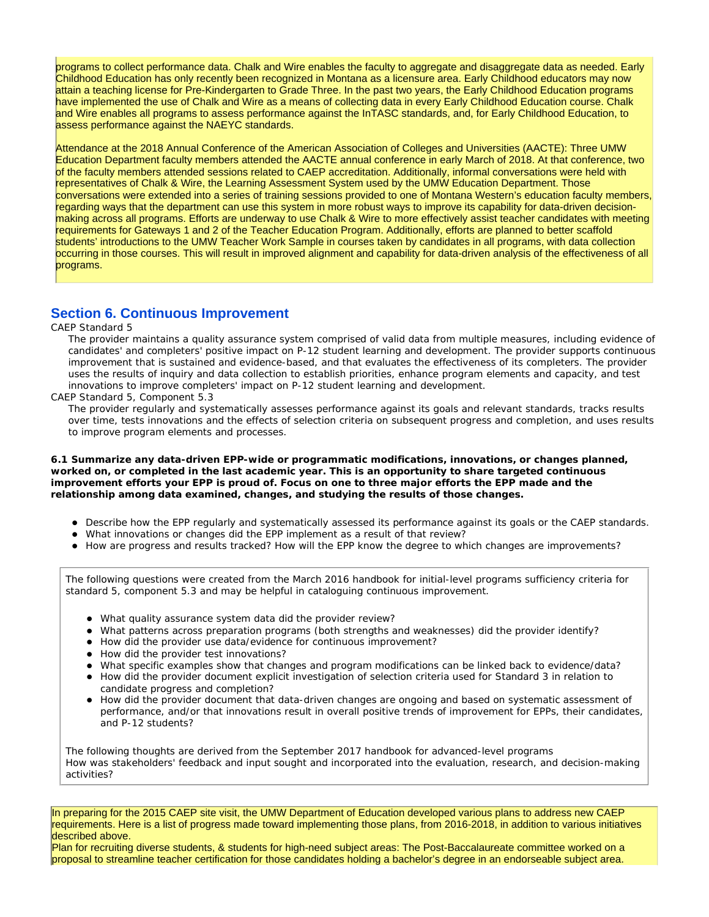programs to collect performance data. Chalk and Wire enables the faculty to aggregate and disaggregate data as needed. Early Childhood Education has only recently been recognized in Montana as a licensure area. Early Childhood educators may now attain a teaching license for Pre-Kindergarten to Grade Three. In the past two years, the Early Childhood Education programs have implemented the use of Chalk and Wire as a means of collecting data in every Early Childhood Education course. Chalk and Wire enables all programs to assess performance against the InTASC standards, and, for Early Childhood Education, to assess performance against the NAEYC standards.

Attendance at the 2018 Annual Conference of the American Association of Colleges and Universities (AACTE): Three UMW Education Department faculty members attended the AACTE annual conference in early March of 2018. At that conference, two of the faculty members attended sessions related to CAEP accreditation. Additionally, informal conversations were held with representatives of Chalk & Wire, the Learning Assessment System used by the UMW Education Department. Those conversations were extended into a series of training sessions provided to one of Montana Western's education faculty members, regarding ways that the department can use this system in more robust ways to improve its capability for data-driven decisionmaking across all programs. Efforts are underway to use Chalk & Wire to more effectively assist teacher candidates with meeting requirements for Gateways 1 and 2 of the Teacher Education Program. Additionally, efforts are planned to better scaffold students' introductions to the UMW Teacher Work Sample in courses taken by candidates in all programs, with data collection occurring in those courses. This will result in improved alignment and capability for data-driven analysis of the effectiveness of all programs.

## **Section 6. Continuous Improvement**

#### CAEP Standard 5

*The provider maintains a quality assurance system comprised of valid data from multiple measures, including evidence of candidates' and completers' positive impact on P-12 student learning and development. The provider supports continuous improvement that is sustained and evidence-based, and that evaluates the effectiveness of its completers. The provider uses the results of inquiry and data collection to establish priorities, enhance program elements and capacity, and test innovations to improve completers' impact on P-12 student learning and development.*

#### CAEP Standard 5, Component 5.3

*The provider regularly and systematically assesses performance against its goals and relevant standards, tracks results over time, tests innovations and the effects of selection criteria on subsequent progress and completion, and uses results to improve program elements and processes.*

**6.1 Summarize any data-driven EPP-wide or programmatic modifications, innovations, or changes planned, worked on, or completed in the last academic year. This is an opportunity to share targeted continuous improvement efforts your EPP is proud of. Focus on one to three major efforts the EPP made and the relationship among data examined, changes, and studying the results of those changes.**

- Describe how the EPP regularly and systematically assessed its performance against its goals or the CAEP standards.
- What innovations or changes did the EPP implement as a result of that review?
- How are progress and results tracked? How will the EPP know the degree to which changes are improvements?

The following questions were created from the March 2016 handbook for initial-level programs sufficiency criteria for standard 5, component 5.3 and may be helpful in cataloguing continuous improvement.

- What quality assurance system data did the provider review?
- What patterns across preparation programs (both strengths and weaknesses) did the provider identify?
- How did the provider use data/evidence for continuous improvement?
- How did the provider test innovations?
- What specific examples show that changes and program modifications can be linked back to evidence/data?
- How did the provider document explicit investigation of selection criteria used for Standard 3 in relation to candidate progress and completion?
- How did the provider document that data-driven changes are ongoing and based on systematic assessment of performance, and/or that innovations result in overall positive trends of improvement for EPPs, their candidates, and P-12 students?

The following thoughts are derived from the September 2017 handbook for advanced-level programs How was stakeholders' feedback and input sought and incorporated into the evaluation, research, and decision-making activities?

In preparing for the 2015 CAEP site visit, the UMW Department of Education developed various plans to address new CAEP requirements. Here is a list of progress made toward implementing those plans, from 2016-2018, in addition to various initiatives described above.

Plan for recruiting diverse students, & students for high-need subject areas: The Post-Baccalaureate committee worked on a proposal to streamline teacher certification for those candidates holding a bachelor's degree in an endorseable subject area.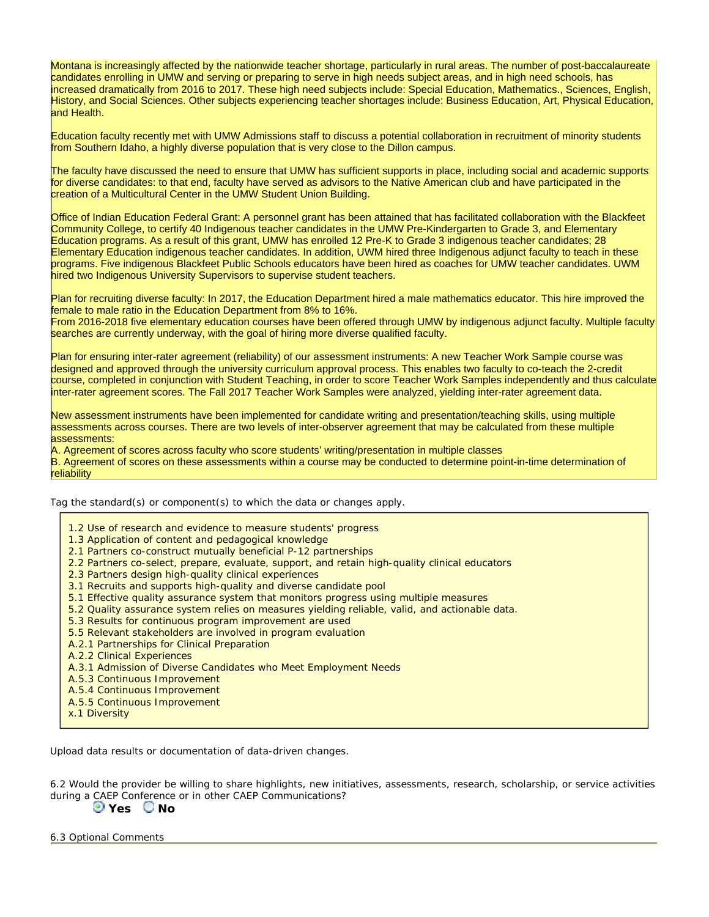Montana is increasingly affected by the nationwide teacher shortage, particularly in rural areas. The number of post-baccalaureate candidates enrolling in UMW and serving or preparing to serve in high needs subject areas, and in high need schools, has increased dramatically from 2016 to 2017. These high need subjects include: Special Education, Mathematics., Sciences, English, History, and Social Sciences. Other subjects experiencing teacher shortages include: Business Education, Art, Physical Education, and Health.

Education faculty recently met with UMW Admissions staff to discuss a potential collaboration in recruitment of minority students from Southern Idaho, a highly diverse population that is very close to the Dillon campus.

The faculty have discussed the need to ensure that UMW has sufficient supports in place, including social and academic supports for diverse candidates: to that end, faculty have served as advisors to the Native American club and have participated in the creation of a Multicultural Center in the UMW Student Union Building.

Office of Indian Education Federal Grant: A personnel grant has been attained that has facilitated collaboration with the Blackfeet Community College, to certify 40 Indigenous teacher candidates in the UMW Pre-Kindergarten to Grade 3, and Elementary Education programs. As a result of this grant, UMW has enrolled 12 Pre-K to Grade 3 indigenous teacher candidates; 28 Elementary Education indigenous teacher candidates. In addition, UWM hired three Indigenous adjunct faculty to teach in these programs. Five indigenous Blackfeet Public Schools educators have been hired as coaches for UMW teacher candidates. UWM hired two Indigenous University Supervisors to supervise student teachers.

Plan for recruiting diverse faculty: In 2017, the Education Department hired a male mathematics educator. This hire improved the female to male ratio in the Education Department from 8% to 16%.

From 2016-2018 five elementary education courses have been offered through UMW by indigenous adjunct faculty. Multiple faculty searches are currently underway, with the goal of hiring more diverse qualified faculty.

Plan for ensuring inter-rater agreement (reliability) of our assessment instruments: A new Teacher Work Sample course was designed and approved through the university curriculum approval process. This enables two faculty to co-teach the 2-credit course, completed in conjunction with Student Teaching, in order to score Teacher Work Samples independently and thus calculate inter-rater agreement scores. The Fall 2017 Teacher Work Samples were analyzed, yielding inter-rater agreement data.

New assessment instruments have been implemented for candidate writing and presentation/teaching skills, using multiple assessments across courses. There are two levels of inter-observer agreement that may be calculated from these multiple assessments:

A. Agreement of scores across faculty who score students' writing/presentation in multiple classes B. Agreement of scores on these assessments within a course may be conducted to determine point-in-time determination of reliability

Tag the standard(s) or component(s) to which the data or changes apply.

- 1.2 Use of research and evidence to measure students' progress
- 1.3 Application of content and pedagogical knowledge
- 2.1 Partners co-construct mutually beneficial P-12 partnerships
- 2.2 Partners co-select, prepare, evaluate, support, and retain high-quality clinical educators
- 2.3 Partners design high-quality clinical experiences
- 3.1 Recruits and supports high-quality and diverse candidate pool
- 5.1 Effective quality assurance system that monitors progress using multiple measures
- 5.2 Quality assurance system relies on measures yielding reliable, valid, and actionable data.
- 5.3 Results for continuous program improvement are used
- 5.5 Relevant stakeholders are involved in program evaluation
- A.2.1 Partnerships for Clinical Preparation
- A.2.2 Clinical Experiences
- A.3.1 Admission of Diverse Candidates who Meet Employment Needs
- A.5.3 Continuous Improvement
- A.5.4 Continuous Improvement
- A.5.5 Continuous Improvement
- x.1 Diversity

Upload data results or documentation of data-driven changes.

6.2 Would the provider be willing to share highlights, new initiatives, assessments, research, scholarship, or service activities during a CAEP Conference or in other CAEP Communications? **D** Yes  $\bigcirc$  No

6.3 Optional Comments